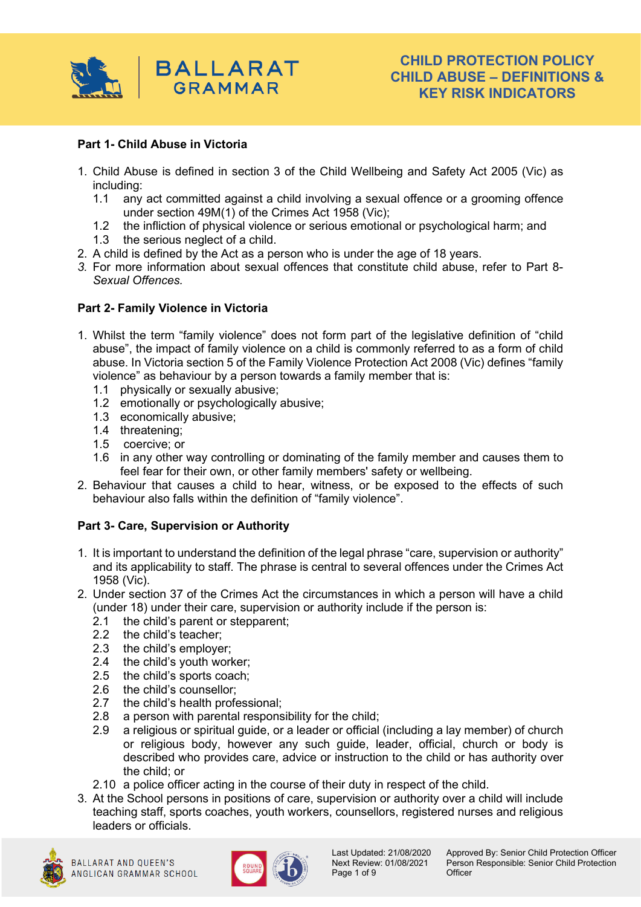

## **Part 1- Child Abuse in Victoria**

- 1. Child Abuse is defined in section 3 of the Child Wellbeing and Safety Act 2005 (Vic) as including:
	- 1.1 any act committed against a child involving a sexual offence or a grooming offence under section 49M(1) of the Crimes Act 1958 (Vic);
	- 1.2 the infliction of physical violence or serious emotional or psychological harm; and
	- 1.3 the serious neglect of a child.
- 2. A child is defined by the Act as a person who is under the age of 18 years.
- *3.* For more information about sexual offences that constitute child abuse, refer to Part 8- *Sexual Offences.*

#### **Part 2- Family Violence in Victoria**

- 1. Whilst the term "family violence" does not form part of the legislative definition of "child abuse", the impact of family violence on a child is commonly referred to as a form of child abuse. In Victoria section 5 of the Family Violence Protection Act 2008 (Vic) defines "family violence" as behaviour by a person towards a family member that is:
	- 1.1 physically or sexually abusive;
	- 1.2 emotionally or psychologically abusive;
	- 1.3 economically abusive;
	- 1.4 threatening;
	- 1.5 coercive; or
	- 1.6 in any other way controlling or dominating of the family member and causes them to feel fear for their own, or other family members' safety or wellbeing.
- 2. Behaviour that causes a child to hear, witness, or be exposed to the effects of such behaviour also falls within the definition of "family violence".

## **Part 3- Care, Supervision or Authority**

- 1. It is important to understand the definition of the legal phrase "care, supervision or authority" and its applicability to staff. The phrase is central to several offences under the Crimes Act 1958 (Vic).
- 2. Under section 37 of the Crimes Act the circumstances in which a person will have a child (under 18) under their care, supervision or authority include if the person is:
	- 2.1 the child's parent or stepparent;
	- 2.2 the child's teacher;
	- 2.3 the child's employer;
	- 2.4 the child's youth worker;
	- 2.5 the child's sports coach;
	- 2.6 the child's counsellor;
	- 2.7 the child's health professional;
	- 2.8 a person with parental responsibility for the child;
	- 2.9 a religious or spiritual guide, or a leader or official (including a lay member) of church or religious body, however any such guide, leader, official, church or body is described who provides care, advice or instruction to the child or has authority over the child; or
	- 2.10 a police officer acting in the course of their duty in respect of the child.
- 3. At the School persons in positions of care, supervision or authority over a child will include teaching staff, sports coaches, youth workers, counsellors, registered nurses and religious leaders or officials.





Page 1 of 9 Officer

Last Updated: 21/08/2020 Approved By: Senior Child Protection Officer Next Review: 01/08/2021 Person Responsible: Senior Child Protection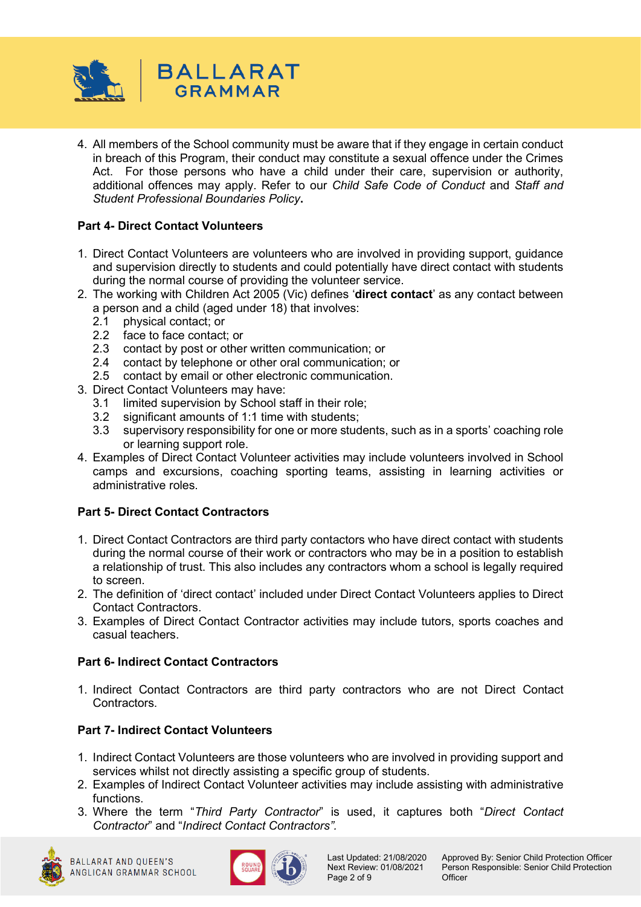

4. All members of the School community must be aware that if they engage in certain conduct in breach of this Program, their conduct may constitute a sexual offence under the Crimes Act. For those persons who have a child under their care, supervision or authority, additional offences may apply. Refer to our *Child Safe Code of Conduct* and *Staff and Student Professional Boundaries Policy***.**

# **Part 4- Direct Contact Volunteers**

- 1. Direct Contact Volunteers are volunteers who are involved in providing support, guidance and supervision directly to students and could potentially have direct contact with students during the normal course of providing the volunteer service.
- 2. The working with Children Act 2005 (Vic) defines '**direct contact**' as any contact between a person and a child (aged under 18) that involves:
	- 2.1 physical contact; or
	- 2.2 face to face contact; or
	- 2.3 contact by post or other written communication; or <br>2.4 contact by telephone or other oral communication:
	- 2.4 contact by telephone or other oral communication; or
	- 2.5 contact by email or other electronic communication.
- 3. Direct Contact Volunteers may have:
	- 3.1 limited supervision by School staff in their role;
	- 3.2 significant amounts of 1:1 time with students;
	- 3.3 supervisory responsibility for one or more students, such as in a sports' coaching role or learning support role.
- 4. Examples of Direct Contact Volunteer activities may include volunteers involved in School camps and excursions, coaching sporting teams, assisting in learning activities or administrative roles.

## **Part 5- Direct Contact Contractors**

- 1. Direct Contact Contractors are third party contactors who have direct contact with students during the normal course of their work or contractors who may be in a position to establish a relationship of trust. This also includes any contractors whom a school is legally required to screen.
- 2. The definition of 'direct contact' included under Direct Contact Volunteers applies to Direct Contact Contractors.
- 3. Examples of Direct Contact Contractor activities may include tutors, sports coaches and casual teachers.

#### **Part 6- Indirect Contact Contractors**

1. Indirect Contact Contractors are third party contractors who are not Direct Contact Contractors.

## **Part 7- Indirect Contact Volunteers**

- 1. Indirect Contact Volunteers are those volunteers who are involved in providing support and services whilst not directly assisting a specific group of students.
- 2. Examples of Indirect Contact Volunteer activities may include assisting with administrative functions.
- 3. Where the term "*Third Party Contractor*" is used, it captures both "*Direct Contact Contractor*" and "*Indirect Contact Contractors".*



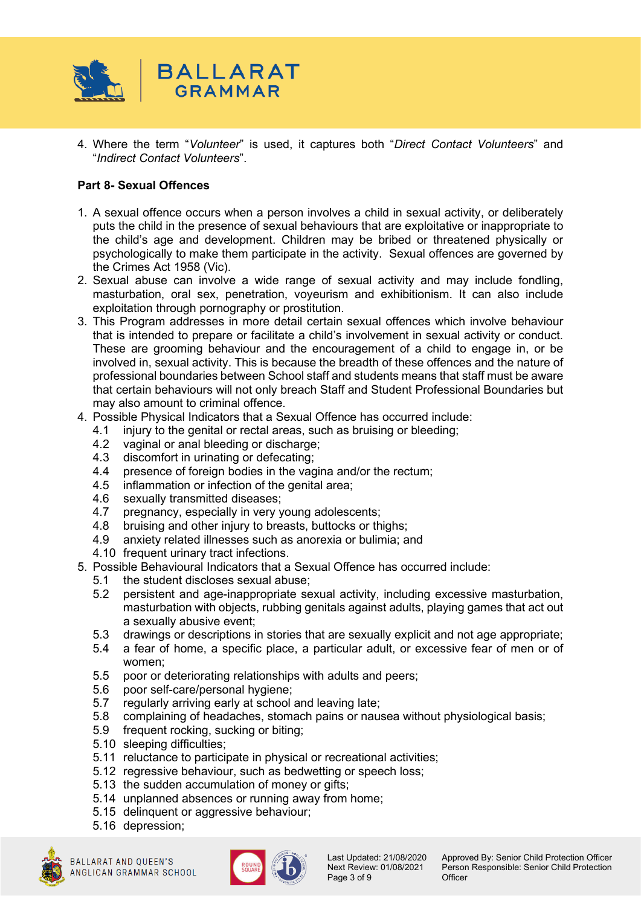

4. Where the term "*Volunteer*" is used, it captures both "*Direct Contact Volunteers*" and "*Indirect Contact Volunteers*".

## **Part 8- Sexual Offences**

- 1. A sexual offence occurs when a person involves a child in sexual activity, or deliberately puts the child in the presence of sexual behaviours that are exploitative or inappropriate to the child's age and development. Children may be bribed or threatened physically or psychologically to make them participate in the activity. Sexual offences are governed by the Crimes Act 1958 (Vic).
- 2. Sexual abuse can involve a wide range of sexual activity and may include fondling, masturbation, oral sex, penetration, voyeurism and exhibitionism. It can also include exploitation through pornography or prostitution.
- 3. This Program addresses in more detail certain sexual offences which involve behaviour that is intended to prepare or facilitate a child's involvement in sexual activity or conduct. These are grooming behaviour and the encouragement of a child to engage in, or be involved in, sexual activity. This is because the breadth of these offences and the nature of professional boundaries between School staff and students means that staff must be aware that certain behaviours will not only breach Staff and Student Professional Boundaries but may also amount to criminal offence.
- 4. Possible Physical Indicators that a Sexual Offence has occurred include:
	- 4.1 injury to the genital or rectal areas, such as bruising or bleeding;
	- 4.2 vaginal or anal bleeding or discharge;
	- 4.3 discomfort in urinating or defecating;
	- 4.4 presence of foreign bodies in the vagina and/or the rectum;
	- 4.5 inflammation or infection of the genital area;
	- 4.6 sexually transmitted diseases;<br>4.7 pregnancy, especially in yery
	- pregnancy, especially in very young adolescents;
	- 4.8 bruising and other injury to breasts, buttocks or thighs;
	- 4.9 anxiety related illnesses such as anorexia or bulimia; and
	- 4.10 frequent urinary tract infections.
- 5. Possible Behavioural Indicators that a Sexual Offence has occurred include:
	- 5.1 the student discloses sexual abuse;
	- 5.2 persistent and age-inappropriate sexual activity, including excessive masturbation, masturbation with objects, rubbing genitals against adults, playing games that act out a sexually abusive event;
	- 5.3 drawings or descriptions in stories that are sexually explicit and not age appropriate;
	- 5.4 a fear of home, a specific place, a particular adult, or excessive fear of men or of women;
	- 5.5 poor or deteriorating relationships with adults and peers;
	- 5.6 poor self-care/personal hygiene;
	- 5.7 regularly arriving early at school and leaving late;
	- 5.8 complaining of headaches, stomach pains or nausea without physiological basis;
	- 5.9 frequent rocking, sucking or biting;
	- 5.10 sleeping difficulties;
	- 5.11 reluctance to participate in physical or recreational activities;
	- 5.12 regressive behaviour, such as bedwetting or speech loss;
	- 5.13 the sudden accumulation of money or gifts;
	- 5.14 unplanned absences or running away from home;
	- 5.15 delinquent or aggressive behaviour;
	- 5.16 depression;





Page 3 of 9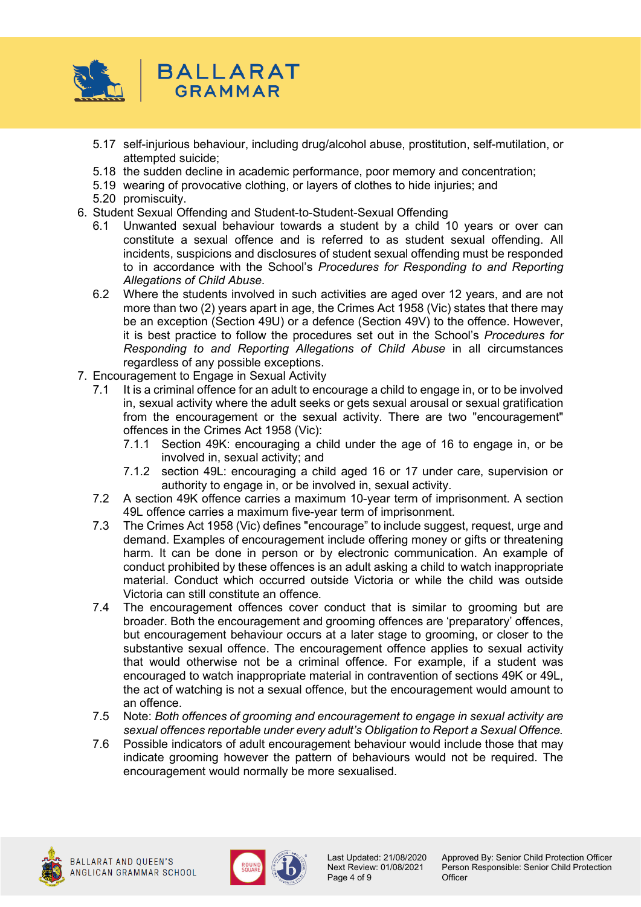

- 5.17 self-injurious behaviour, including drug/alcohol abuse, prostitution, self-mutilation, or attempted suicide;
- 5.18 the sudden decline in academic performance, poor memory and concentration;
- 5.19 wearing of provocative clothing, or layers of clothes to hide injuries; and
- 5.20 promiscuity.
- 6. Student Sexual Offending and Student-to-Student-Sexual Offending
	- 6.1 Unwanted sexual behaviour towards a student by a child 10 years or over can constitute a sexual offence and is referred to as student sexual offending. All incidents, suspicions and disclosures of student sexual offending must be responded to in accordance with the School's *Procedures for Responding to and Reporting Allegations of Child Abuse*.
	- 6.2 Where the students involved in such activities are aged over 12 years, and are not more than two (2) years apart in age, the Crimes Act 1958 (Vic) states that there may be an exception (Section 49U) or a defence (Section 49V) to the offence. However, it is best practice to follow the procedures set out in the School's *Procedures for Responding to and Reporting Allegations of Child Abuse* in all circumstances regardless of any possible exceptions.
- 7. Encouragement to Engage in Sexual Activity
	- 7.1 It is a criminal offence for an adult to encourage a child to engage in, or to be involved in, sexual activity where the adult seeks or gets sexual arousal or sexual gratification from the encouragement or the sexual activity. There are two "encouragement" offences in the Crimes Act 1958 (Vic):
		- 7.1.1 Section 49K: encouraging a child under the age of 16 to engage in, or be involved in, sexual activity; and
		- 7.1.2 section 49L: encouraging a child aged 16 or 17 under care, supervision or authority to engage in, or be involved in, sexual activity.
	- 7.2 A section 49K offence carries a maximum 10-year term of imprisonment. A section 49L offence carries a maximum five-year term of imprisonment.
	- 7.3 The Crimes Act 1958 (Vic) defines "encourage" to include suggest, request, urge and demand. Examples of encouragement include offering money or gifts or threatening harm. It can be done in person or by electronic communication. An example of conduct prohibited by these offences is an adult asking a child to watch inappropriate material. Conduct which occurred outside Victoria or while the child was outside Victoria can still constitute an offence.
	- 7.4 The encouragement offences cover conduct that is similar to grooming but are broader. Both the encouragement and grooming offences are 'preparatory' offences, but encouragement behaviour occurs at a later stage to grooming, or closer to the substantive sexual offence. The encouragement offence applies to sexual activity that would otherwise not be a criminal offence. For example, if a student was encouraged to watch inappropriate material in contravention of sections 49K or 49L, the act of watching is not a sexual offence, but the encouragement would amount to an offence.
	- 7.5 Note: *Both offences of grooming and encouragement to engage in sexual activity are sexual offences reportable under every adult's Obligation to Report a Sexual Offence.*
	- 7.6 Possible indicators of adult encouragement behaviour would include those that may indicate grooming however the pattern of behaviours would not be required. The encouragement would normally be more sexualised.





Page 4 of 9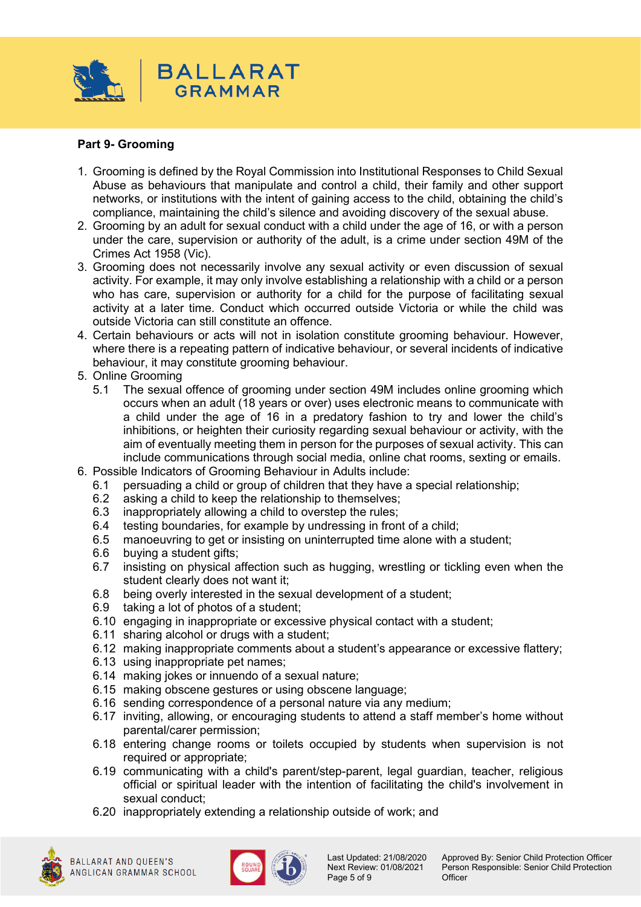

## **Part 9- Grooming**

- 1. Grooming is defined by the Royal Commission into Institutional Responses to Child Sexual Abuse as behaviours that manipulate and control a child, their family and other support networks, or institutions with the intent of gaining access to the child, obtaining the child's compliance, maintaining the child's silence and avoiding discovery of the sexual abuse.
- 2. Grooming by an adult for sexual conduct with a child under the age of 16, or with a person under the care, supervision or authority of the adult, is a crime under section 49M of the Crimes Act 1958 (Vic).
- 3. Grooming does not necessarily involve any sexual activity or even discussion of sexual activity. For example, it may only involve establishing a relationship with a child or a person who has care, supervision or authority for a child for the purpose of facilitating sexual activity at a later time. Conduct which occurred outside Victoria or while the child was outside Victoria can still constitute an offence.
- 4. Certain behaviours or acts will not in isolation constitute grooming behaviour. However, where there is a repeating pattern of indicative behaviour, or several incidents of indicative behaviour, it may constitute grooming behaviour.
- 5. Online Grooming
	- 5.1 The sexual offence of grooming under section 49M includes online grooming which occurs when an adult (18 years or over) uses electronic means to communicate with a child under the age of 16 in a predatory fashion to try and lower the child's inhibitions, or heighten their curiosity regarding sexual behaviour or activity, with the aim of eventually meeting them in person for the purposes of sexual activity. This can include communications through social media, online chat rooms, sexting or emails.
- 6. Possible Indicators of Grooming Behaviour in Adults include:
	- 6.1 persuading a child or group of children that they have a special relationship;
	- 6.2 asking a child to keep the relationship to themselves;<br>6.3 inappropriately allowing a child to overstep the rules:
	- 6.3 inappropriately allowing a child to overstep the rules;<br>6.4 testing boundaries, for example by undressing in fron
	- testing boundaries, for example by undressing in front of a child;
	- 6.5 manoeuvring to get or insisting on uninterrupted time alone with a student;
	- 6.6 buying a student gifts;
	- 6.7 insisting on physical affection such as hugging, wrestling or tickling even when the student clearly does not want it;
	- 6.8 being overly interested in the sexual development of a student;
	- 6.9 taking a lot of photos of a student;
	- 6.10 engaging in inappropriate or excessive physical contact with a student;
	- 6.11 sharing alcohol or drugs with a student;
	- 6.12 making inappropriate comments about a student's appearance or excessive flattery;
	- 6.13 using inappropriate pet names;
	- 6.14 making jokes or innuendo of a sexual nature;
	- 6.15 making obscene gestures or using obscene language;
	- 6.16 sending correspondence of a personal nature via any medium;
	- 6.17 inviting, allowing, or encouraging students to attend a staff member's home without parental/carer permission;
	- 6.18 entering change rooms or toilets occupied by students when supervision is not required or appropriate;
	- 6.19 communicating with a child's parent/step-parent, legal guardian, teacher, religious official or spiritual leader with the intention of facilitating the child's involvement in sexual conduct;
	- 6.20 inappropriately extending a relationship outside of work; and





Page 5 of 9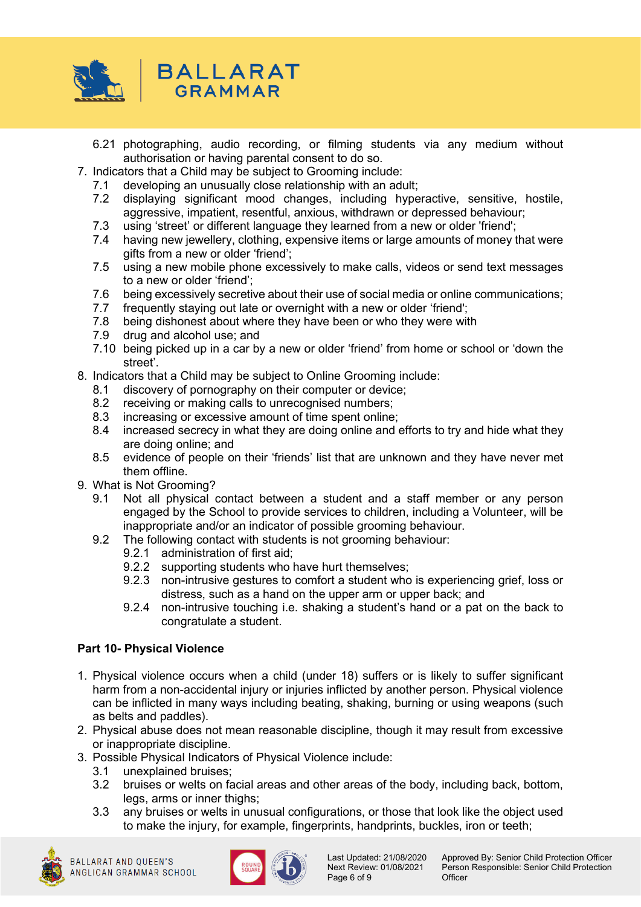

- 6.21 photographing, audio recording, or filming students via any medium without authorisation or having parental consent to do so.
- 7. Indicators that a Child may be subject to Grooming include:
	- 7.1 developing an unusually close relationship with an adult;<br>7.2 displaving significant mood changes, including hype
	- 7.2 displaying significant mood changes, including hyperactive, sensitive, hostile, aggressive, impatient, resentful, anxious, withdrawn or depressed behaviour;
	- 7.3 using 'street' or different language they learned from a new or older 'friend';
	- 7.4 having new jewellery, clothing, expensive items or large amounts of money that were gifts from a new or older 'friend';
	- 7.5 using a new mobile phone excessively to make calls, videos or send text messages to a new or older 'friend';
	- 7.6 being excessively secretive about their use of social media or online communications;<br>7.7 frequently staving out late or overnight with a new or older 'friend':
	- frequently staying out late or overnight with a new or older 'friend':
	- 7.8 being dishonest about where they have been or who they were with
	- 7.9 drug and alcohol use; and
	- 7.10 being picked up in a car by a new or older 'friend' from home or school or 'down the street'.
- 8. Indicators that a Child may be subject to Online Grooming include:
	- 8.1 discovery of pornography on their computer or device;
	- 8.2 receiving or making calls to unrecognised numbers;
	- 8.3 increasing or excessive amount of time spent online;
	- 8.4 increased secrecy in what they are doing online and efforts to try and hide what they are doing online; and
	- 8.5 evidence of people on their 'friends' list that are unknown and they have never met them offline.
- 9. What is Not Grooming?
	- 9.1 Not all physical contact between a student and a staff member or any person engaged by the School to provide services to children, including a Volunteer, will be inappropriate and/or an indicator of possible grooming behaviour.
	- 9.2 The following contact with students is not grooming behaviour:
		- 9.2.1 administration of first aid;
		- 9.2.2 supporting students who have hurt themselves;
		- 9.2.3 non-intrusive gestures to comfort a student who is experiencing grief, loss or distress, such as a hand on the upper arm or upper back; and
		- 9.2.4 non-intrusive touching i.e. shaking a student's hand or a pat on the back to congratulate a student.

## **Part 10- Physical Violence**

- 1. Physical violence occurs when a child (under 18) suffers or is likely to suffer significant harm from a non-accidental injury or injuries inflicted by another person. Physical violence can be inflicted in many ways including beating, shaking, burning or using weapons (such as belts and paddles).
- 2. Physical abuse does not mean reasonable discipline, though it may result from excessive or inappropriate discipline.
- 3. Possible Physical Indicators of Physical Violence include:
	- 3.1 unexplained bruises;
	- 3.2 bruises or welts on facial areas and other areas of the body, including back, bottom, legs, arms or inner thighs;
	- 3.3 any bruises or welts in unusual configurations, or those that look like the object used to make the injury, for example, fingerprints, handprints, buckles, iron or teeth;



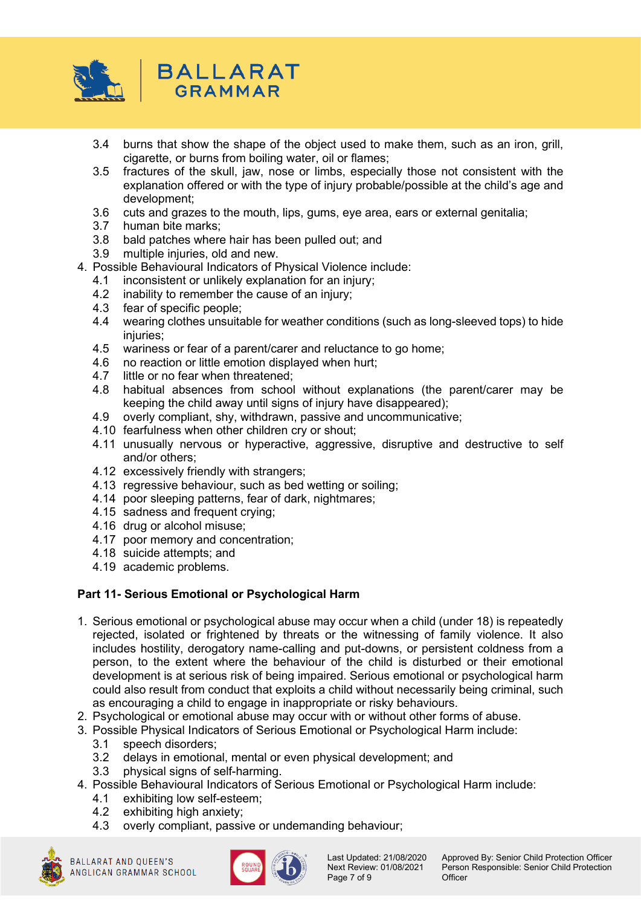

- 3.4 burns that show the shape of the object used to make them, such as an iron, grill, cigarette, or burns from boiling water, oil or flames;
- 3.5 fractures of the skull, jaw, nose or limbs, especially those not consistent with the explanation offered or with the type of injury probable/possible at the child's age and development;
- 3.6 cuts and grazes to the mouth, lips, gums, eye area, ears or external genitalia;
- 3.7 human bite marks;
- 3.8 bald patches where hair has been pulled out; and
- 3.9 multiple injuries, old and new.
- 4. Possible Behavioural Indicators of Physical Violence include:
	- 4.1 inconsistent or unlikely explanation for an injury;
	- 4.2 inability to remember the cause of an injury;<br>4.3 fear of specific people:
	- fear of specific people:
	- 4.4 wearing clothes unsuitable for weather conditions (such as long-sleeved tops) to hide injuries;
	- 4.5 wariness or fear of a parent/carer and reluctance to go home;
	- 4.6 no reaction or little emotion displayed when hurt;<br>4.7 little or no fear when threatened;
	- little or no fear when threatened;
	- 4.8 habitual absences from school without explanations (the parent/carer may be keeping the child away until signs of injury have disappeared);
	- 4.9 overly compliant, shy, withdrawn, passive and uncommunicative;
	- 4.10 fearfulness when other children cry or shout;
	- 4.11 unusually nervous or hyperactive, aggressive, disruptive and destructive to self and/or others;
	- 4.12 excessively friendly with strangers;
	- 4.13 regressive behaviour, such as bed wetting or soiling;
	- 4.14 poor sleeping patterns, fear of dark, nightmares;
	- 4.15 sadness and frequent crying;
	- 4.16 drug or alcohol misuse;
	- 4.17 poor memory and concentration;
	- 4.18 suicide attempts; and
	- 4.19 academic problems.

## **Part 11- Serious Emotional or Psychological Harm**

- 1. Serious emotional or psychological abuse may occur when a child (under 18) is repeatedly rejected, isolated or frightened by threats or the witnessing of family violence. It also includes hostility, derogatory name-calling and put-downs, or persistent coldness from a person, to the extent where the behaviour of the child is disturbed or their emotional development is at serious risk of being impaired. Serious emotional or psychological harm could also result from conduct that exploits a child without necessarily being criminal, such as encouraging a child to engage in inappropriate or risky behaviours.
- 2. Psychological or emotional abuse may occur with or without other forms of abuse.
- 3. Possible Physical Indicators of Serious Emotional or Psychological Harm include:
	- 3.1 speech disorders;
	- 3.2 delays in emotional, mental or even physical development; and
	- 3.3 physical signs of self-harming.
- 4. Possible Behavioural Indicators of Serious Emotional or Psychological Harm include:
	- 4.1 exhibiting low self-esteem;<br>4.2 exhibiting high anxiety;
	- exhibiting high anxiety;
	- 4.3 overly compliant, passive or undemanding behaviour;





Page 7 of 9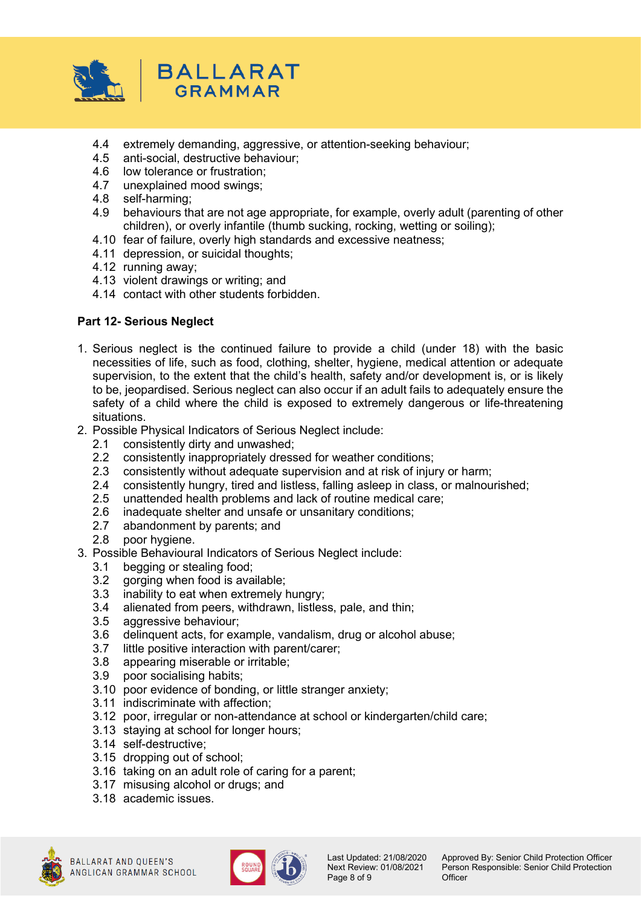

- 4.4 extremely demanding, aggressive, or attention-seeking behaviour;
- 4.5 anti-social, destructive behaviour;
- 4.6 low tolerance or frustration;
- 4.7 unexplained mood swings;
- 4.8 self-harming;
- behaviours that are not age appropriate, for example, overly adult (parenting of other children), or overly infantile (thumb sucking, rocking, wetting or soiling);
- 4.10 fear of failure, overly high standards and excessive neatness;
- 4.11 depression, or suicidal thoughts;
- 4.12 running away;
- 4.13 violent drawings or writing; and
- 4.14 contact with other students forbidden.

#### **Part 12- Serious Neglect**

- 1. Serious neglect is the continued failure to provide a child (under 18) with the basic necessities of life, such as food, clothing, shelter, hygiene, medical attention or adequate supervision, to the extent that the child's health, safety and/or development is, or is likely to be, jeopardised. Serious neglect can also occur if an adult fails to adequately ensure the safety of a child where the child is exposed to extremely dangerous or life-threatening situations.
- 2. Possible Physical Indicators of Serious Neglect include:
	- 2.1 consistently dirty and unwashed;
	- 2.2 consistently inappropriately dressed for weather conditions;
	- 2.3 consistently without adequate supervision and at risk of injury or harm;
	- 2.4 consistently hungry, tired and listless, falling asleep in class, or malnourished;
	-
	- 2.5 unattended health problems and lack of routine medical care;<br>2.6 inadequate shelter and unsafe or unsanitary conditions: inadequate shelter and unsafe or unsanitary conditions;
	- 2.7 abandonment by parents; and
	- 2.8 poor hygiene.
- 3. Possible Behavioural Indicators of Serious Neglect include:
	- 3.1 begging or stealing food;
	- 3.2 gorging when food is available;
	- 3.3 inability to eat when extremely hungry;
	- 3.4 alienated from peers, withdrawn, listless, pale, and thin;
	- 3.5 aggressive behaviour;
	- 3.6 delinquent acts, for example, vandalism, drug or alcohol abuse;
	- 3.7 little positive interaction with parent/carer;
	- 3.8 appearing miserable or irritable;
	- 3.9 poor socialising habits;
	- 3.10 poor evidence of bonding, or little stranger anxiety;
	- 3.11 indiscriminate with affection;
	- 3.12 poor, irregular or non-attendance at school or kindergarten/child care;
	- 3.13 staying at school for longer hours;
	- 3.14 self-destructive;
	- 3.15 dropping out of school;
	- 3.16 taking on an adult role of caring for a parent;
	- 3.17 misusing alcohol or drugs; and
	- 3.18 academic issues.